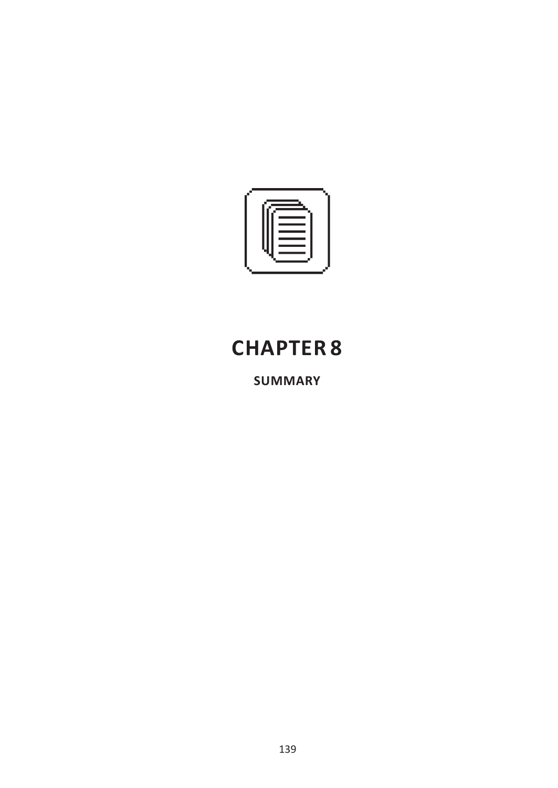

## **CHAPTER 8**

**SUMMARY**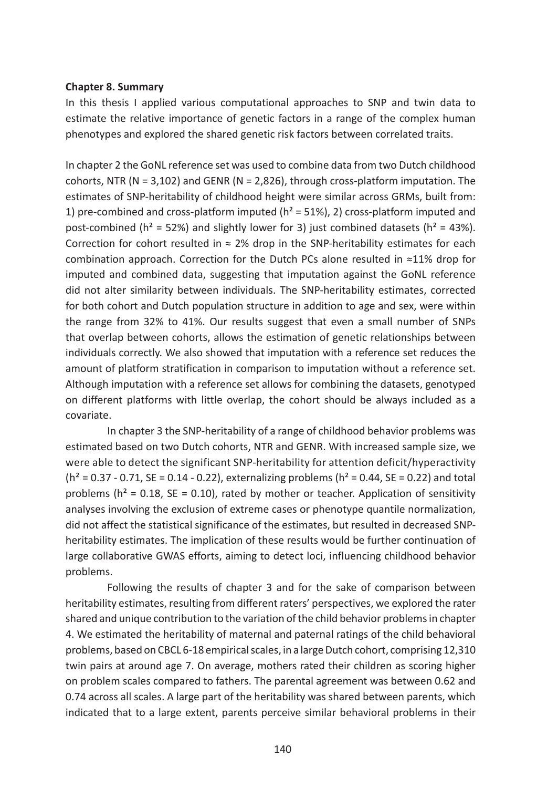## **Chapter 8. Summary**

In this thesis I applied various computational approaches to SNP and twin data to estimate the relative importance of genetic factors in a range of the complex human phenotypes and explored the shared genetic risk factors between correlated traits.

In chapter 2 the GoNL reference set was used to combine data from two Dutch childhood cohorts, NTR ( $N = 3,102$ ) and GENR ( $N = 2,826$ ), through cross-platform imputation. The estimates of SNP-heritability of childhood height were similar across GRMs, built from: 1) pre-combined and cross-platform imputed  $(h^2 = 51\%)$ , 2) cross-platform imputed and post-combined ( $h^2 = 52\%$ ) and slightly lower for 3) just combined datasets ( $h^2 = 43\%$ ). Correction for cohort resulted in  $\approx$  2% drop in the SNP-heritability estimates for each combination approach. Correction for the Dutch PCs alone resulted in ≈11% drop for imputed and combined data, suggesting that imputation against the GoNL reference did not alter similarity between individuals. The SNP-heritability estimates, corrected for both cohort and Dutch population structure in addition to age and sex, were within the range from 32% to 41%. Our results suggest that even a small number of SNPs that overlap between cohorts, allows the estimation of genetic relationships between individuals correctly. We also showed that imputation with a reference set reduces the amount of platform stratification in comparison to imputation without a reference set. Although imputation with a reference set allows for combining the datasets, genotyped on different platforms with little overlap, the cohort should be always included as a covariate.

In chapter 3 the SNP-heritability of a range of childhood behavior problems was estimated based on two Dutch cohorts, NTR and GENR. With increased sample size, we were able to detect the significant SNP-heritability for attention deficit/hyperactivity  $(h^2 = 0.37 - 0.71, SE = 0.14 - 0.22)$ , externalizing problems  $(h^2 = 0.44, SE = 0.22)$  and total problems ( $h^2 = 0.18$ , SE = 0.10), rated by mother or teacher. Application of sensitivity analyses involving the exclusion of extreme cases or phenotype quantile normalization, did not affect the statistical significance of the estimates, but resulted in decreased SNPheritability estimates. The implication of these results would be further continuation of large collaborative GWAS efforts, aiming to detect loci, influencing childhood behavior problems.

Following the results of chapter 3 and for the sake of comparison between heritability estimates, resulting from different raters' perspectives, we explored the rater shared and unique contribution to the variation of the child behavior problems in chapter 4. We estimated the heritability of maternal and paternal ratings of the child behavioral problems, based on CBCL 6-18 empirical scales, in a large Dutch cohort, comprising 12,310 twin pairs at around age 7. On average, mothers rated their children as scoring higher on problem scales compared to fathers. The parental agreement was between 0.62 and 0.74 across all scales. A large part of the heritability was shared between parents, which indicated that to a large extent, parents perceive similar behavioral problems in their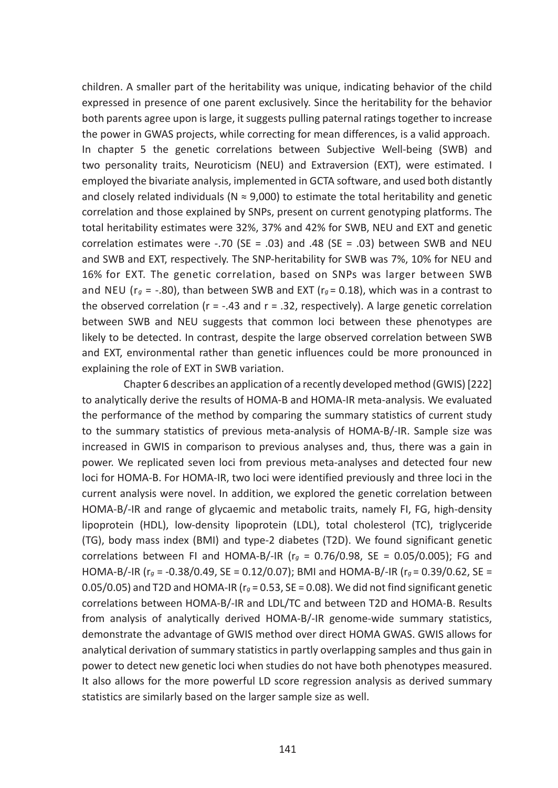children. A smaller part of the heritability was unique, indicating behavior of the child expressed in presence of one parent exclusively. Since the heritability for the behavior both parents agree upon is large, it suggests pulling paternal ratings together to increase the power in GWAS projects, while correcting for mean differences, is a valid approach. In chapter 5 the genetic correlations between Subjective Well-being (SWB) and two personality traits, Neuroticism (NEU) and Extraversion (EXT), were estimated. I employed the bivariate analysis, implemented in GCTA software, and used both distantly and closely related individuals ( $N \approx 9,000$ ) to estimate the total heritability and genetic correlation and those explained by SNPs, present on current genotyping platforms. The total heritability estimates were 32%, 37% and 42% for SWB, NEU and EXT and genetic correlation estimates were  $-.70$  (SE = .03) and .48 (SE = .03) between SWB and NEU and SWB and EXT, respectively. The SNP-heritability for SWB was 7%, 10% for NEU and 16% for EXT. The genetic correlation, based on SNPs was larger between SWB and NEU ( $r_g = -.80$ ), than between SWB and EXT ( $r_g = 0.18$ ), which was in a contrast to the observed correlation ( $r = -.43$  and  $r = .32$ , respectively). A large genetic correlation between SWB and NEU suggests that common loci between these phenotypes are likely to be detected. In contrast, despite the large observed correlation between SWB and EXT, environmental rather than genetic influences could be more pronounced in explaining the role of EXT in SWB variation.

Chapter 6 describes an application of a recently developed method (GWIS) [222] to analytically derive the results of HOMA-B and HOMA-IR meta-analysis. We evaluated the performance of the method by comparing the summary statistics of current study to the summary statistics of previous meta-analysis of HOMA-B/-IR. Sample size was increased in GWIS in comparison to previous analyses and, thus, there was a gain in power. We replicated seven loci from previous meta-analyses and detected four new loci for HOMA-B. For HOMA-IR, two loci were identified previously and three loci in the current analysis were novel. In addition, we explored the genetic correlation between HOMA-B/-IR and range of glycaemic and metabolic traits, namely FI, FG, high-density lipoprotein (HDL), low-density lipoprotein (LDL), total cholesterol (TC), triglyceride (TG), body mass index (BMI) and type-2 diabetes (T2D). We found significant genetic correlations between FI and HOMA-B/-IR ( $r_g = 0.76/0.98$ , SE = 0.05/0.005); FG and HOMA-B/-IR (r*g* = -0.38/0.49, SE = 0.12/0.07); BMI and HOMA-B/-IR (r*g* = 0.39/0.62, SE = 0.05/0.05) and T2D and HOMA-IR ( $r_g$  = 0.53, SE = 0.08). We did not find significant genetic correlations between HOMA-B/-IR and LDL/TC and between T2D and HOMA-B. Results from analysis of analytically derived HOMA-B/-IR genome-wide summary statistics, demonstrate the advantage of GWIS method over direct HOMA GWAS. GWIS allows for analytical derivation of summary statistics in partly overlapping samples and thus gain in power to detect new genetic loci when studies do not have both phenotypes measured. It also allows for the more powerful LD score regression analysis as derived summary statistics are similarly based on the larger sample size as well.